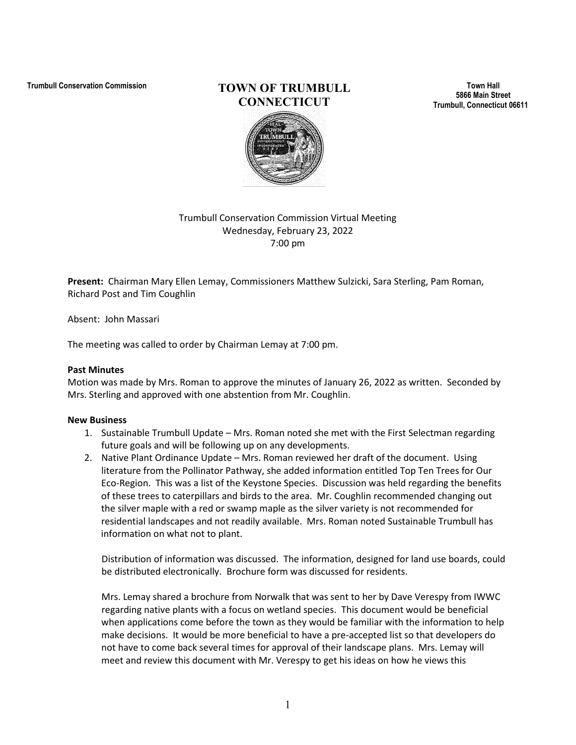# **Trumbull Conservation Commission TOWN OF TRUMBULL CONNECTICUT**

**Town Hall 5866 Main Street Trumbull, Connecticut 06611**

## Trumbull Conservation Commission Virtual Meeting Wednesday, February 23, 2022 7:00 pm

**Present:** Chairman Mary Ellen Lemay, Commissioners Matthew Sulzicki, Sara Sterling, Pam Roman, Richard Post and Tim Coughlin

Absent: John Massari

The meeting was called to order by Chairman Lemay at 7:00 pm.

### **Past Minutes**

Motion was made by Mrs. Roman to approve the minutes of January 26, 2022 as written. Seconded by Mrs. Sterling and approved with one abstention from Mr. Coughlin.

### **New Business**

- 1. Sustainable Trumbull Update Mrs. Roman noted she met with the First Selectman regarding future goals and will be following up on any developments.
- 2. Native Plant Ordinance Update Mrs. Roman reviewed her draft of the document. Using literature from the Pollinator Pathway, she added information entitled Top Ten Trees for Our Eco-Region. This was a list of the Keystone Species. Discussion was held regarding the benefits of these trees to caterpillars and birds to the area. Mr. Coughlin recommended changing out the silver maple with a red or swamp maple as the silver variety is not recommended for residential landscapes and not readily available. Mrs. Roman noted Sustainable Trumbull has information on what not to plant.

Distribution of information was discussed. The information, designed for land use boards, could be distributed electronically. Brochure form was discussed for residents.

Mrs. Lemay shared a brochure from Norwalk that was sent to her by Dave Verespy from IWWC regarding native plants with a focus on wetland species. This document would be beneficial when applications come before the town as they would be familiar with the information to help make decisions. It would be more beneficial to have a pre-accepted list so that developers do not have to come back several times for approval of their landscape plans. Mrs. Lemay will meet and review this document with Mr. Verespy to get his ideas on how he views this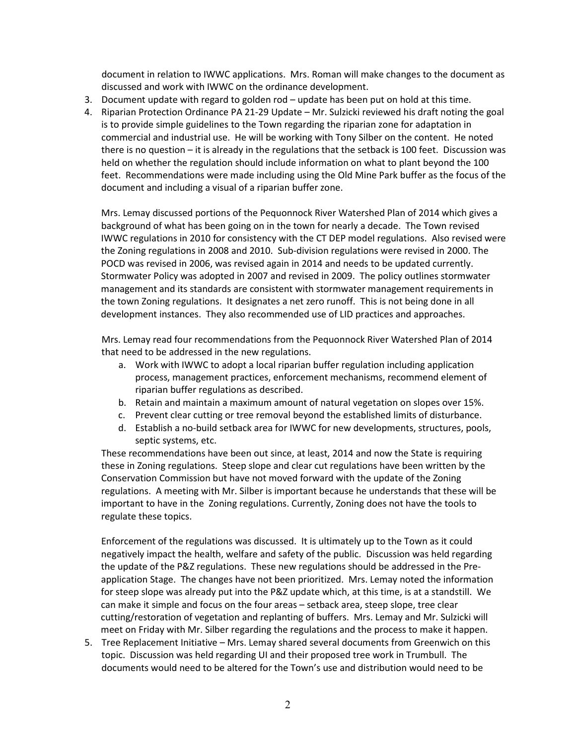document in relation to IWWC applications. Mrs. Roman will make changes to the document as discussed and work with IWWC on the ordinance development.

- 3. Document update with regard to golden rod update has been put on hold at this time.
- 4. Riparian Protection Ordinance PA 21-29 Update Mr. Sulzicki reviewed his draft noting the goal is to provide simple guidelines to the Town regarding the riparian zone for adaptation in commercial and industrial use. He will be working with Tony Silber on the content. He noted there is no question – it is already in the regulations that the setback is 100 feet. Discussion was held on whether the regulation should include information on what to plant beyond the 100 feet. Recommendations were made including using the Old Mine Park buffer as the focus of the document and including a visual of a riparian buffer zone.

Mrs. Lemay discussed portions of the Pequonnock River Watershed Plan of 2014 which gives a background of what has been going on in the town for nearly a decade. The Town revised IWWC regulations in 2010 for consistency with the CT DEP model regulations. Also revised were the Zoning regulations in 2008 and 2010. Sub-division regulations were revised in 2000. The POCD was revised in 2006, was revised again in 2014 and needs to be updated currently. Stormwater Policy was adopted in 2007 and revised in 2009. The policy outlines stormwater management and its standards are consistent with stormwater management requirements in the town Zoning regulations. It designates a net zero runoff. This is not being done in all development instances. They also recommended use of LID practices and approaches.

Mrs. Lemay read four recommendations from the Pequonnock River Watershed Plan of 2014 that need to be addressed in the new regulations.

- a. Work with IWWC to adopt a local riparian buffer regulation including application process, management practices, enforcement mechanisms, recommend element of riparian buffer regulations as described.
- b. Retain and maintain a maximum amount of natural vegetation on slopes over 15%.
- c. Prevent clear cutting or tree removal beyond the established limits of disturbance.
- d. Establish a no-build setback area for IWWC for new developments, structures, pools, septic systems, etc.

These recommendations have been out since, at least, 2014 and now the State is requiring these in Zoning regulations. Steep slope and clear cut regulations have been written by the Conservation Commission but have not moved forward with the update of the Zoning regulations. A meeting with Mr. Silber is important because he understands that these will be important to have in the Zoning regulations. Currently, Zoning does not have the tools to regulate these topics.

Enforcement of the regulations was discussed. It is ultimately up to the Town as it could negatively impact the health, welfare and safety of the public. Discussion was held regarding the update of the P&Z regulations. These new regulations should be addressed in the Preapplication Stage. The changes have not been prioritized. Mrs. Lemay noted the information for steep slope was already put into the P&Z update which, at this time, is at a standstill. We can make it simple and focus on the four areas – setback area, steep slope, tree clear cutting/restoration of vegetation and replanting of buffers. Mrs. Lemay and Mr. Sulzicki will meet on Friday with Mr. Silber regarding the regulations and the process to make it happen.

5. Tree Replacement Initiative – Mrs. Lemay shared several documents from Greenwich on this topic. Discussion was held regarding UI and their proposed tree work in Trumbull. The documents would need to be altered for the Town's use and distribution would need to be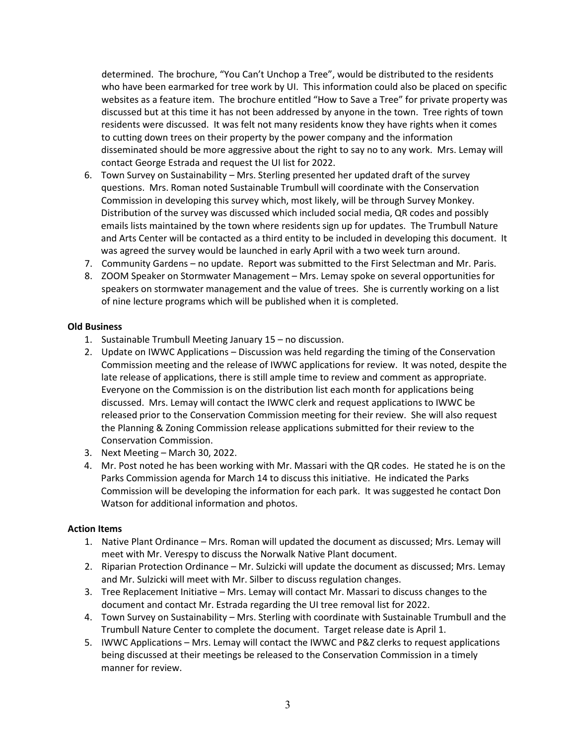determined. The brochure, "You Can't Unchop a Tree", would be distributed to the residents who have been earmarked for tree work by UI. This information could also be placed on specific websites as a feature item. The brochure entitled "How to Save a Tree" for private property was discussed but at this time it has not been addressed by anyone in the town. Tree rights of town residents were discussed. It was felt not many residents know they have rights when it comes to cutting down trees on their property by the power company and the information disseminated should be more aggressive about the right to say no to any work. Mrs. Lemay will contact George Estrada and request the UI list for 2022.

- 6. Town Survey on Sustainability Mrs. Sterling presented her updated draft of the survey questions. Mrs. Roman noted Sustainable Trumbull will coordinate with the Conservation Commission in developing this survey which, most likely, will be through Survey Monkey. Distribution of the survey was discussed which included social media, QR codes and possibly emails lists maintained by the town where residents sign up for updates. The Trumbull Nature and Arts Center will be contacted as a third entity to be included in developing this document. It was agreed the survey would be launched in early April with a two week turn around.
- 7. Community Gardens no update. Report was submitted to the First Selectman and Mr. Paris.
- 8. ZOOM Speaker on Stormwater Management Mrs. Lemay spoke on several opportunities for speakers on stormwater management and the value of trees. She is currently working on a list of nine lecture programs which will be published when it is completed.

### **Old Business**

- 1. Sustainable Trumbull Meeting January 15 no discussion.
- 2. Update on IWWC Applications Discussion was held regarding the timing of the Conservation Commission meeting and the release of IWWC applications for review. It was noted, despite the late release of applications, there is still ample time to review and comment as appropriate. Everyone on the Commission is on the distribution list each month for applications being discussed. Mrs. Lemay will contact the IWWC clerk and request applications to IWWC be released prior to the Conservation Commission meeting for their review. She will also request the Planning & Zoning Commission release applications submitted for their review to the Conservation Commission.
- 3. Next Meeting March 30, 2022.
- 4. Mr. Post noted he has been working with Mr. Massari with the QR codes. He stated he is on the Parks Commission agenda for March 14 to discuss this initiative. He indicated the Parks Commission will be developing the information for each park. It was suggested he contact Don Watson for additional information and photos.

### **Action Items**

- 1. Native Plant Ordinance Mrs. Roman will updated the document as discussed; Mrs. Lemay will meet with Mr. Verespy to discuss the Norwalk Native Plant document.
- 2. Riparian Protection Ordinance Mr. Sulzicki will update the document as discussed; Mrs. Lemay and Mr. Sulzicki will meet with Mr. Silber to discuss regulation changes.
- 3. Tree Replacement Initiative Mrs. Lemay will contact Mr. Massari to discuss changes to the document and contact Mr. Estrada regarding the UI tree removal list for 2022.
- 4. Town Survey on Sustainability Mrs. Sterling with coordinate with Sustainable Trumbull and the Trumbull Nature Center to complete the document. Target release date is April 1.
- 5. IWWC Applications Mrs. Lemay will contact the IWWC and P&Z clerks to request applications being discussed at their meetings be released to the Conservation Commission in a timely manner for review.